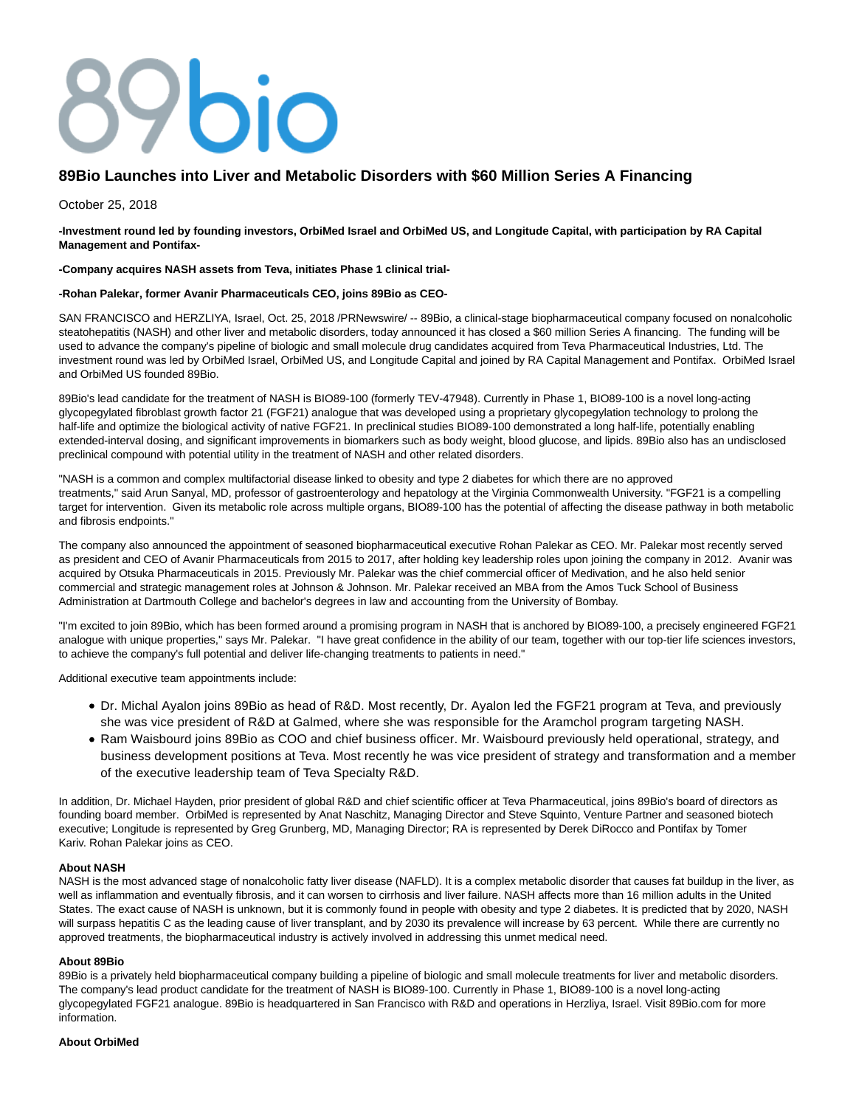# bio

# **89Bio Launches into Liver and Metabolic Disorders with \$60 Million Series A Financing**

October 25, 2018

**-Investment round led by founding investors, OrbiMed Israel and OrbiMed US, and Longitude Capital, with participation by RA Capital Management and Pontifax-**

# **-Company acquires NASH assets from Teva, initiates Phase 1 clinical trial-**

# **-Rohan Palekar, former Avanir Pharmaceuticals CEO, joins 89Bio as CEO-**

SAN FRANCISCO and HERZLIYA, Israel, Oct. 25, 2018 /PRNewswire/ -- 89Bio, a clinical-stage biopharmaceutical company focused on nonalcoholic steatohepatitis (NASH) and other liver and metabolic disorders, today announced it has closed a \$60 million Series A financing. The funding will be used to advance the company's pipeline of biologic and small molecule drug candidates acquired from Teva Pharmaceutical Industries, Ltd. The investment round was led by OrbiMed Israel, OrbiMed US, and Longitude Capital and joined by RA Capital Management and Pontifax. OrbiMed Israel and OrbiMed US founded 89Bio.

89Bio's lead candidate for the treatment of NASH is BIO89-100 (formerly TEV-47948). Currently in Phase 1, BIO89-100 is a novel long-acting glycopegylated fibroblast growth factor 21 (FGF21) analogue that was developed using a proprietary glycopegylation technology to prolong the half-life and optimize the biological activity of native FGF21. In preclinical studies BIO89-100 demonstrated a long half-life, potentially enabling extended-interval dosing, and significant improvements in biomarkers such as body weight, blood glucose, and lipids. 89Bio also has an undisclosed preclinical compound with potential utility in the treatment of NASH and other related disorders.

"NASH is a common and complex multifactorial disease linked to obesity and type 2 diabetes for which there are no approved treatments," said Arun Sanyal, MD, professor of gastroenterology and hepatology at the Virginia Commonwealth University. "FGF21 is a compelling target for intervention. Given its metabolic role across multiple organs, BIO89-100 has the potential of affecting the disease pathway in both metabolic and fibrosis endpoints."

The company also announced the appointment of seasoned biopharmaceutical executive Rohan Palekar as CEO. Mr. Palekar most recently served as president and CEO of Avanir Pharmaceuticals from 2015 to 2017, after holding key leadership roles upon joining the company in 2012. Avanir was acquired by Otsuka Pharmaceuticals in 2015. Previously Mr. Palekar was the chief commercial officer of Medivation, and he also held senior commercial and strategic management roles at Johnson & Johnson. Mr. Palekar received an MBA from the Amos Tuck School of Business Administration at Dartmouth College and bachelor's degrees in law and accounting from the University of Bombay.

"I'm excited to join 89Bio, which has been formed around a promising program in NASH that is anchored by BIO89-100, a precisely engineered FGF21 analogue with unique properties," says Mr. Palekar. "I have great confidence in the ability of our team, together with our top-tier life sciences investors, to achieve the company's full potential and deliver life-changing treatments to patients in need."

Additional executive team appointments include:

- Dr. Michal Ayalon joins 89Bio as head of R&D. Most recently, Dr. Ayalon led the FGF21 program at Teva, and previously she was vice president of R&D at Galmed, where she was responsible for the Aramchol program targeting NASH.
- Ram Waisbourd joins 89Bio as COO and chief business officer. Mr. Waisbourd previously held operational, strategy, and business development positions at Teva. Most recently he was vice president of strategy and transformation and a member of the executive leadership team of Teva Specialty R&D.

In addition, Dr. Michael Hayden, prior president of global R&D and chief scientific officer at Teva Pharmaceutical, joins 89Bio's board of directors as founding board member. OrbiMed is represented by Anat Naschitz, Managing Director and Steve Squinto, Venture Partner and seasoned biotech executive; Longitude is represented by Greg Grunberg, MD, Managing Director; RA is represented by Derek DiRocco and Pontifax by Tomer Kariv. Rohan Palekar joins as CEO.

#### **About NASH**

NASH is the most advanced stage of nonalcoholic fatty liver disease (NAFLD). It is a complex metabolic disorder that causes fat buildup in the liver, as well as inflammation and eventually fibrosis, and it can worsen to cirrhosis and liver failure. NASH affects more than 16 million adults in the United States. The exact cause of NASH is unknown, but it is commonly found in people with obesity and type 2 diabetes. It is predicted that by 2020, NASH will surpass hepatitis C as the leading cause of liver transplant, and by 2030 its prevalence will increase by 63 percent. While there are currently no approved treatments, the biopharmaceutical industry is actively involved in addressing this unmet medical need.

#### **About 89Bio**

89Bio is a privately held biopharmaceutical company building a pipeline of biologic and small molecule treatments for liver and metabolic disorders. The company's lead product candidate for the treatment of NASH is BIO89-100. Currently in Phase 1, BIO89-100 is a novel long-acting glycopegylated FGF21 analogue. 89Bio is headquartered in San Francisco with R&D and operations in Herzliya, Israel. Visit 89Bio.com for more information.

#### **About OrbiMed**